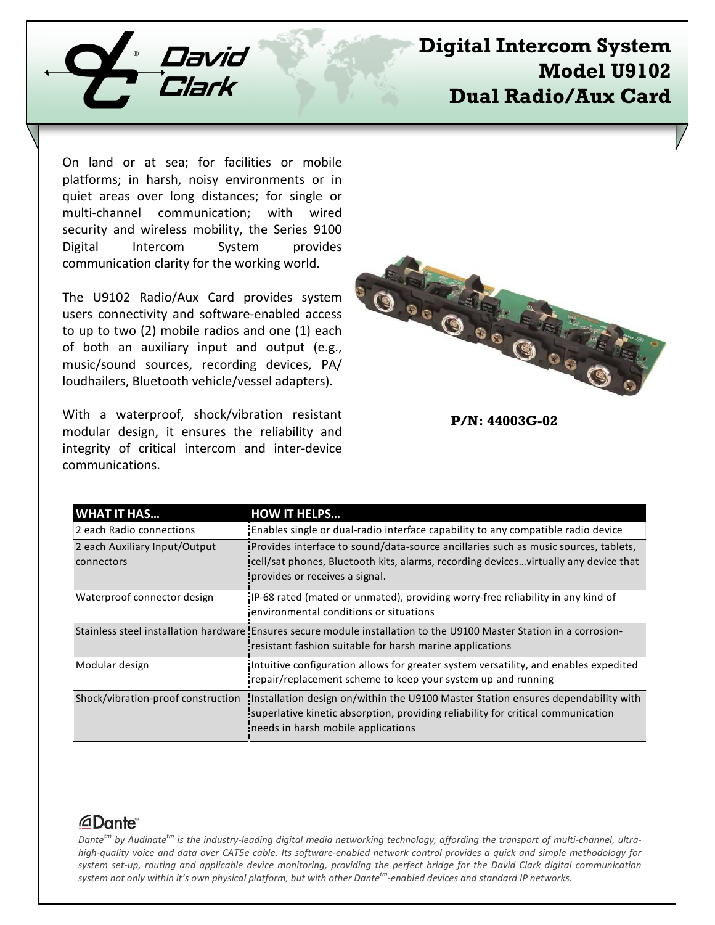

# **Digital Intercom System Model U9102 Dual Radio/Aux Card**

On land or at sea; for facilities or mobile platforms; in harsh, noisy environments or in quiet areas over long distances; for single or multi-channel communication; with wired security and wireless mobility, the Series 9100 Digital Intercom System provides communication clarity for the working world.

The U9102 Radio/Aux Card provides system users connectivity and software-enabled access to up to two (2) mobile radios and one (1) each of both an auxiliary input and output (e.g., music/sound sources, recording devices, PA/ loudhailers, Bluetooth vehicle/vessel adapters).

With a waterproof, shock/vibration resistant modular design, it ensures the reliability and integrity of critical intercom and inter-device communications.



**P/N: 44003G-02**

| <b>WHAT IT HAS</b>                          | <b>HOW IT HELPS</b>                                                                                                                                                                                           |
|---------------------------------------------|---------------------------------------------------------------------------------------------------------------------------------------------------------------------------------------------------------------|
| 2 each Radio connections                    | Enables single or dual-radio interface capability to any compatible radio device                                                                                                                              |
| 2 each Auxiliary Input/Output<br>connectors | iProvides interface to sound/data-source ancillaries such as music sources, tablets,<br>cell/sat phones, Bluetooth kits, alarms, recording devicesvirtually any device that<br>provides or receives a signal. |
| Waterproof connector design                 | IP-68 rated (mated or unmated), providing worry-free reliability in any kind of<br>environmental conditions or situations                                                                                     |
|                                             | Stainless steel installation hardware! Ensures secure module installation to the U9100 Master Station in a corrosion-<br>resistant fashion suitable for harsh marine applications                             |
| Modular design                              | Intuitive configuration allows for greater system versatility, and enables expedited<br>repair/replacement scheme to keep your system up and running                                                          |
| Shock/vibration-proof construction          | Installation design on/within the U9100 Master Station ensures dependability with<br>superlative kinetic absorption, providing reliability for critical communication<br>needs in harsh mobile applications   |

### *<u>ADante</u>*

*Dantetm by Audinatetm is the industry-leading digital media networking technology, affording the transport of multi-channel, ultrahigh-quality voice and data over CAT5e cable. Its software-enabled network control provides a quick and simple methodology for system set-up, routing and applicable device monitoring, providing the perfect bridge for the David Clark digital communication system not only within it's own physical platform, but with other Dantetm-enabled devices and standard IP networks.*